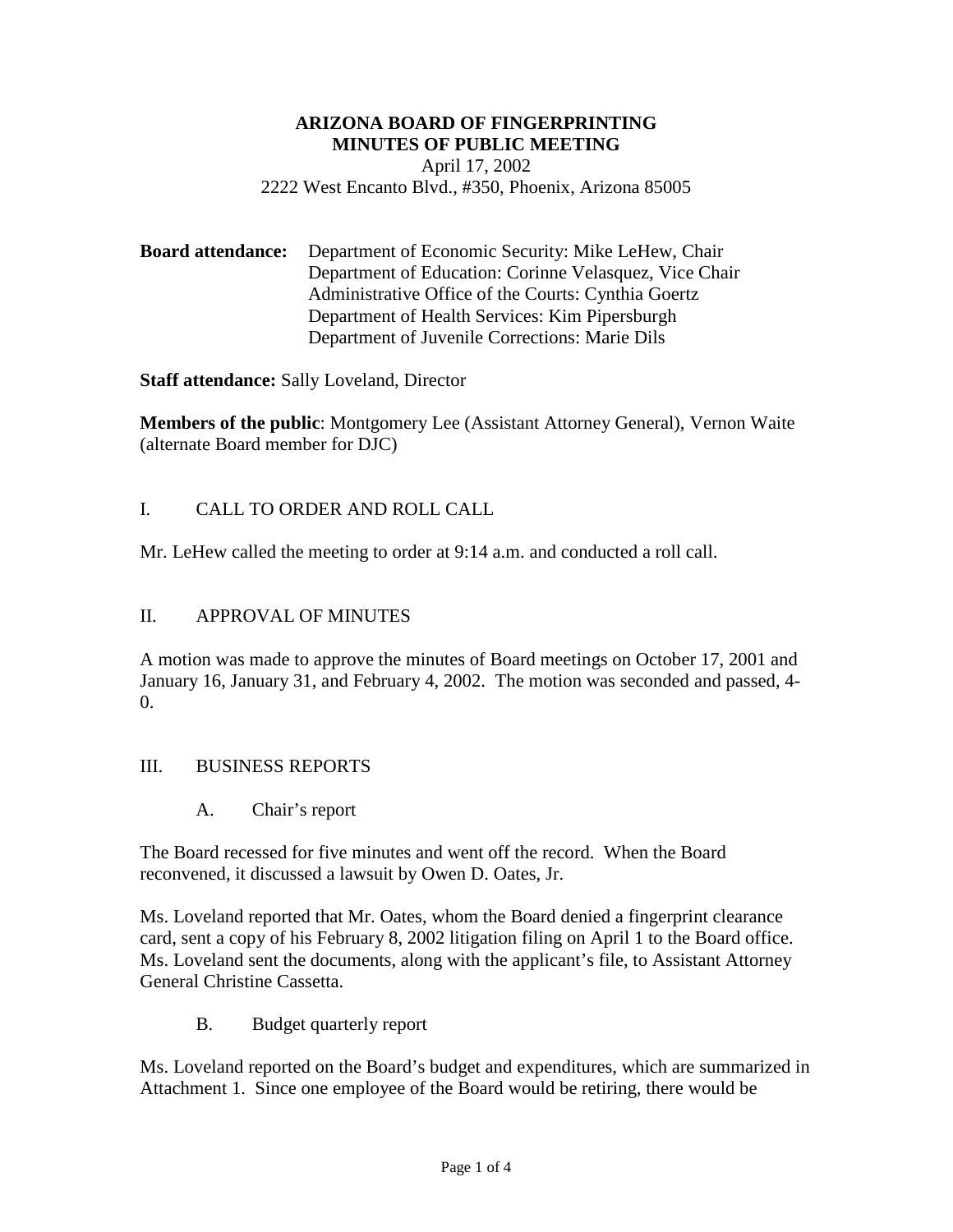#### **ARIZONA BOARD OF FINGERPRINTING MINUTES OF PUBLIC MEETING** April 17, 2002 2222 West Encanto Blvd., #350, Phoenix, Arizona 85005

**Board attendance:** Department of Economic Security: Mike LeHew, Chair Department of Education: Corinne Velasquez, Vice Chair Administrative Office of the Courts: Cynthia Goertz Department of Health Services: Kim Pipersburgh Department of Juvenile Corrections: Marie Dils

**Staff attendance:** Sally Loveland, Director

**Members of the public**: Montgomery Lee (Assistant Attorney General), Vernon Waite (alternate Board member for DJC)

## I. CALL TO ORDER AND ROLL CALL

Mr. LeHew called the meeting to order at 9:14 a.m. and conducted a roll call.

#### II. APPROVAL OF MINUTES

A motion was made to approve the minutes of Board meetings on October 17, 2001 and January 16, January 31, and February 4, 2002. The motion was seconded and passed, 4- 0.

## III. BUSINESS REPORTS

A. Chair's report

The Board recessed for five minutes and went off the record. When the Board reconvened, it discussed a lawsuit by Owen D. Oates, Jr.

Ms. Loveland reported that Mr. Oates, whom the Board denied a fingerprint clearance card, sent a copy of his February 8, 2002 litigation filing on April 1 to the Board office. Ms. Loveland sent the documents, along with the applicant's file, to Assistant Attorney General Christine Cassetta.

B. Budget quarterly report

Ms. Loveland reported on the Board's budget and expenditures, which are summarized in Attachment 1. Since one employee of the Board would be retiring, there would be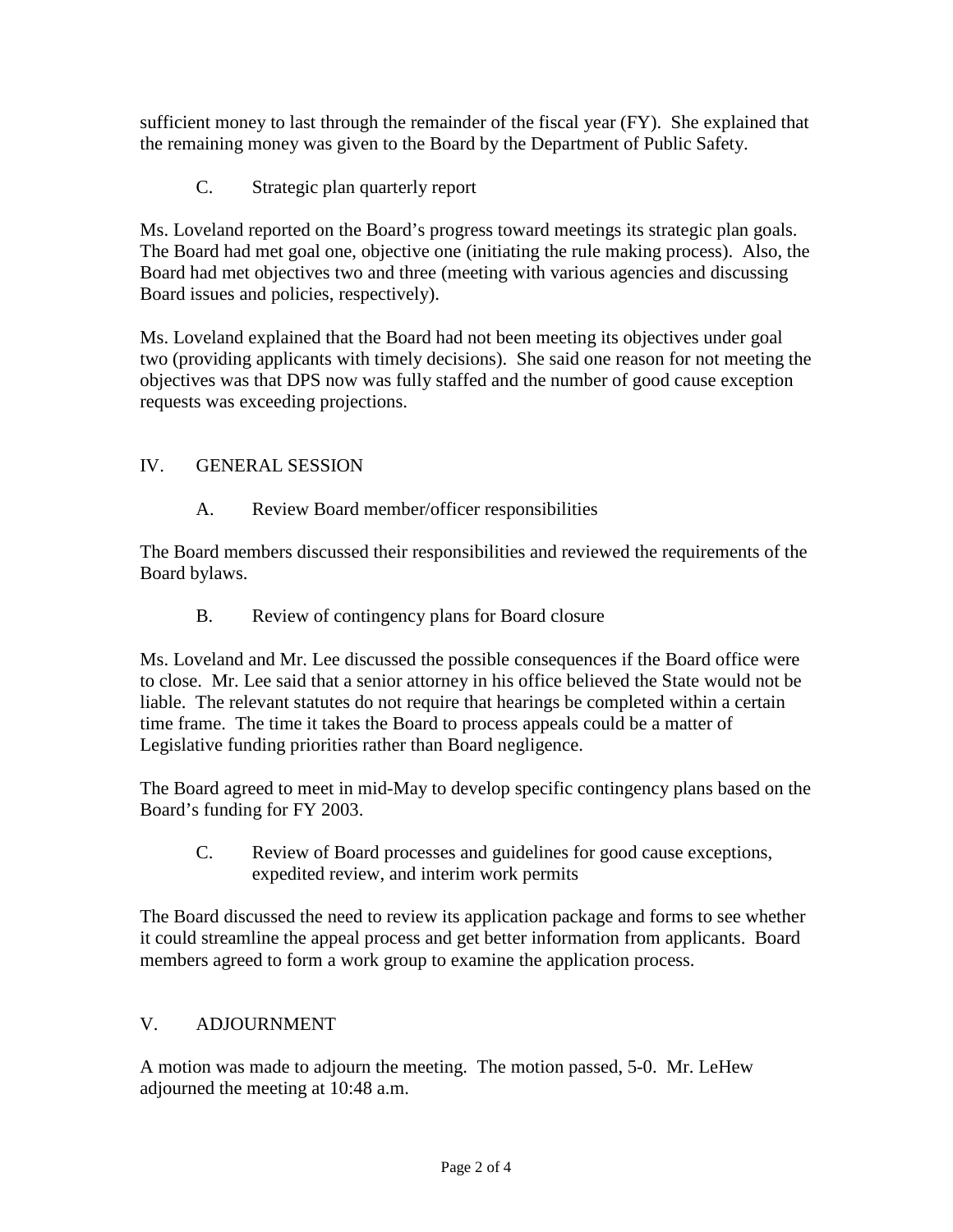sufficient money to last through the remainder of the fiscal year (FY). She explained that the remaining money was given to the Board by the Department of Public Safety.

C. Strategic plan quarterly report

Ms. Loveland reported on the Board's progress toward meetings its strategic plan goals. The Board had met goal one, objective one (initiating the rule making process). Also, the Board had met objectives two and three (meeting with various agencies and discussing Board issues and policies, respectively).

Ms. Loveland explained that the Board had not been meeting its objectives under goal two (providing applicants with timely decisions). She said one reason for not meeting the objectives was that DPS now was fully staffed and the number of good cause exception requests was exceeding projections.

## IV. GENERAL SESSION

A. Review Board member/officer responsibilities

The Board members discussed their responsibilities and reviewed the requirements of the Board bylaws.

B. Review of contingency plans for Board closure

Ms. Loveland and Mr. Lee discussed the possible consequences if the Board office were to close. Mr. Lee said that a senior attorney in his office believed the State would not be liable. The relevant statutes do not require that hearings be completed within a certain time frame. The time it takes the Board to process appeals could be a matter of Legislative funding priorities rather than Board negligence.

The Board agreed to meet in mid-May to develop specific contingency plans based on the Board's funding for FY 2003.

C. Review of Board processes and guidelines for good cause exceptions, expedited review, and interim work permits

The Board discussed the need to review its application package and forms to see whether it could streamline the appeal process and get better information from applicants. Board members agreed to form a work group to examine the application process.

## V. ADJOURNMENT

A motion was made to adjourn the meeting. The motion passed, 5-0. Mr. LeHew adjourned the meeting at 10:48 a.m.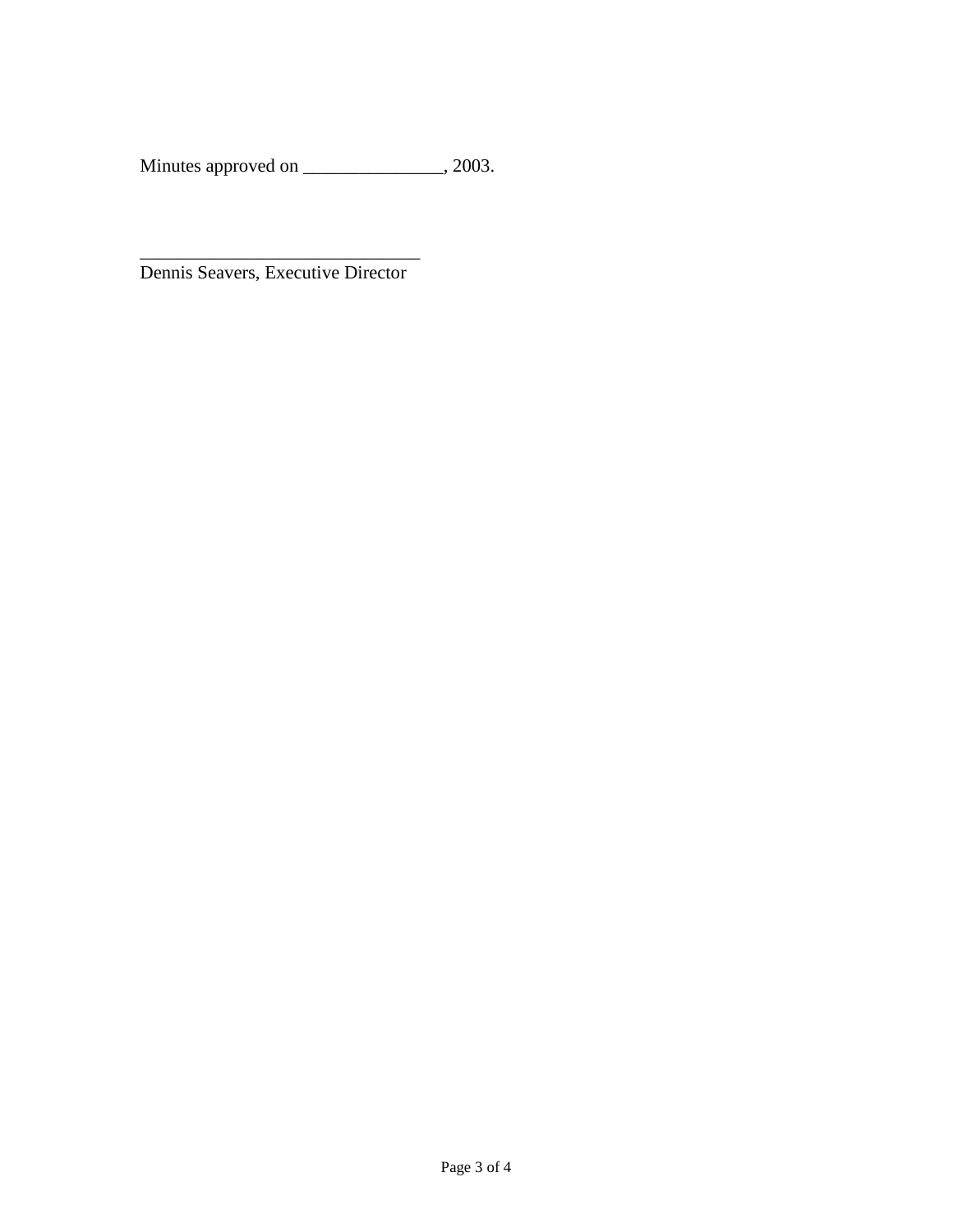Minutes approved on \_\_\_\_\_\_\_\_\_\_\_\_\_\_, 2003.

\_\_\_\_\_\_\_\_\_\_\_\_\_\_\_\_\_\_\_\_\_\_\_\_\_\_\_\_\_\_ Dennis Seavers, Executive Director